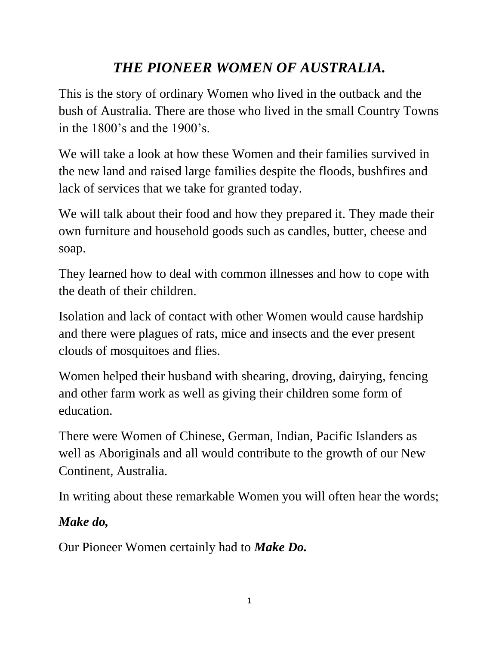## *THE PIONEER WOMEN OF AUSTRALIA.*

This is the story of ordinary Women who lived in the outback and the bush of Australia. There are those who lived in the small Country Towns in the 1800's and the 1900's.

We will take a look at how these Women and their families survived in the new land and raised large families despite the floods, bushfires and lack of services that we take for granted today.

We will talk about their food and how they prepared it. They made their own furniture and household goods such as candles, butter, cheese and soap.

They learned how to deal with common illnesses and how to cope with the death of their children.

Isolation and lack of contact with other Women would cause hardship and there were plagues of rats, mice and insects and the ever present clouds of mosquitoes and flies.

Women helped their husband with shearing, droving, dairying, fencing and other farm work as well as giving their children some form of education.

There were Women of Chinese, German, Indian, Pacific Islanders as well as Aboriginals and all would contribute to the growth of our New Continent, Australia.

In writing about these remarkable Women you will often hear the words;

## *Make do,*

Our Pioneer Women certainly had to *Make Do.*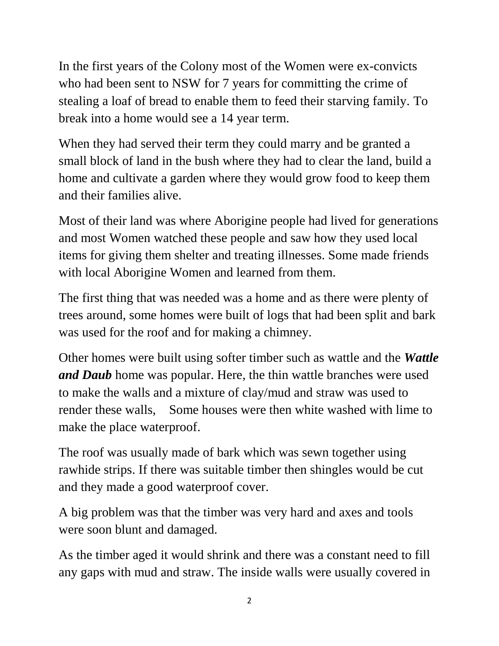In the first years of the Colony most of the Women were ex-convicts who had been sent to NSW for 7 years for committing the crime of stealing a loaf of bread to enable them to feed their starving family. To break into a home would see a 14 year term.

When they had served their term they could marry and be granted a small block of land in the bush where they had to clear the land, build a home and cultivate a garden where they would grow food to keep them and their families alive.

Most of their land was where Aborigine people had lived for generations and most Women watched these people and saw how they used local items for giving them shelter and treating illnesses. Some made friends with local Aborigine Women and learned from them.

The first thing that was needed was a home and as there were plenty of trees around, some homes were built of logs that had been split and bark was used for the roof and for making a chimney.

Other homes were built using softer timber such as wattle and the *Wattle and Daub* home was popular. Here, the thin wattle branches were used to make the walls and a mixture of clay/mud and straw was used to render these walls, Some houses were then white washed with lime to make the place waterproof.

The roof was usually made of bark which was sewn together using rawhide strips. If there was suitable timber then shingles would be cut and they made a good waterproof cover.

A big problem was that the timber was very hard and axes and tools were soon blunt and damaged.

As the timber aged it would shrink and there was a constant need to fill any gaps with mud and straw. The inside walls were usually covered in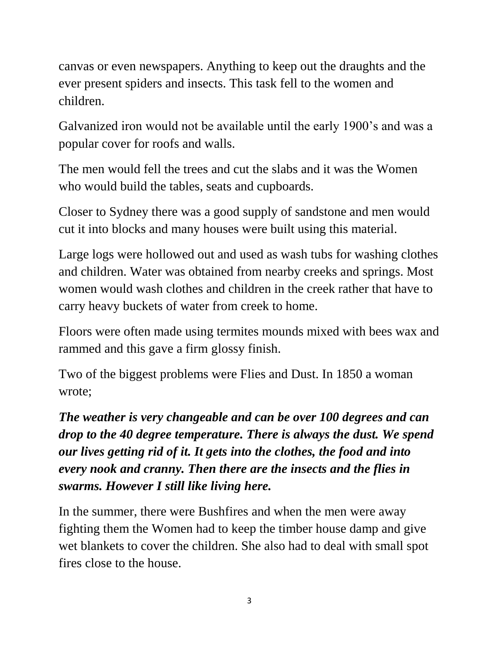canvas or even newspapers. Anything to keep out the draughts and the ever present spiders and insects. This task fell to the women and children.

Galvanized iron would not be available until the early 1900's and was a popular cover for roofs and walls.

The men would fell the trees and cut the slabs and it was the Women who would build the tables, seats and cupboards.

Closer to Sydney there was a good supply of sandstone and men would cut it into blocks and many houses were built using this material.

Large logs were hollowed out and used as wash tubs for washing clothes and children. Water was obtained from nearby creeks and springs. Most women would wash clothes and children in the creek rather that have to carry heavy buckets of water from creek to home.

Floors were often made using termites mounds mixed with bees wax and rammed and this gave a firm glossy finish.

Two of the biggest problems were Flies and Dust. In 1850 a woman wrote;

*The weather is very changeable and can be over 100 degrees and can drop to the 40 degree temperature. There is always the dust. We spend our lives getting rid of it. It gets into the clothes, the food and into every nook and cranny. Then there are the insects and the flies in swarms. However I still like living here.* 

In the summer, there were Bushfires and when the men were away fighting them the Women had to keep the timber house damp and give wet blankets to cover the children. She also had to deal with small spot fires close to the house.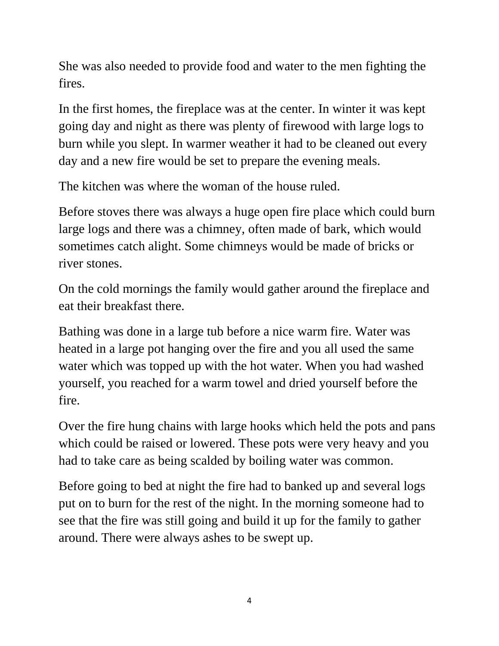She was also needed to provide food and water to the men fighting the fires.

In the first homes, the fireplace was at the center. In winter it was kept going day and night as there was plenty of firewood with large logs to burn while you slept. In warmer weather it had to be cleaned out every day and a new fire would be set to prepare the evening meals.

The kitchen was where the woman of the house ruled.

Before stoves there was always a huge open fire place which could burn large logs and there was a chimney, often made of bark, which would sometimes catch alight. Some chimneys would be made of bricks or river stones.

On the cold mornings the family would gather around the fireplace and eat their breakfast there.

Bathing was done in a large tub before a nice warm fire. Water was heated in a large pot hanging over the fire and you all used the same water which was topped up with the hot water. When you had washed yourself, you reached for a warm towel and dried yourself before the fire.

Over the fire hung chains with large hooks which held the pots and pans which could be raised or lowered. These pots were very heavy and you had to take care as being scalded by boiling water was common.

Before going to bed at night the fire had to banked up and several logs put on to burn for the rest of the night. In the morning someone had to see that the fire was still going and build it up for the family to gather around. There were always ashes to be swept up.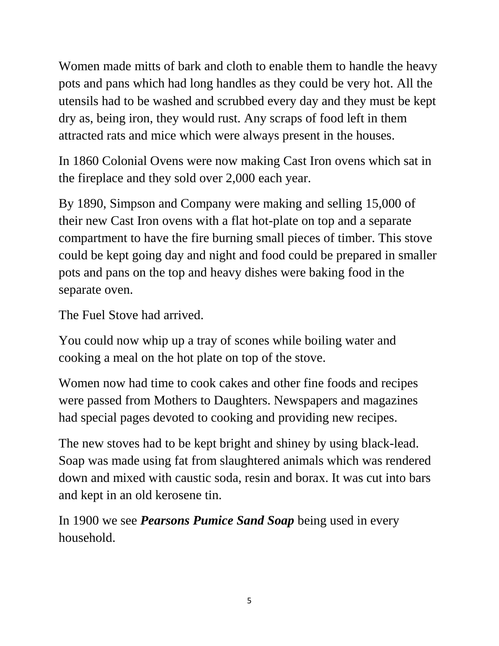Women made mitts of bark and cloth to enable them to handle the heavy pots and pans which had long handles as they could be very hot. All the utensils had to be washed and scrubbed every day and they must be kept dry as, being iron, they would rust. Any scraps of food left in them attracted rats and mice which were always present in the houses.

In 1860 Colonial Ovens were now making Cast Iron ovens which sat in the fireplace and they sold over 2,000 each year.

By 1890, Simpson and Company were making and selling 15,000 of their new Cast Iron ovens with a flat hot-plate on top and a separate compartment to have the fire burning small pieces of timber. This stove could be kept going day and night and food could be prepared in smaller pots and pans on the top and heavy dishes were baking food in the separate oven.

The Fuel Stove had arrived.

You could now whip up a tray of scones while boiling water and cooking a meal on the hot plate on top of the stove.

Women now had time to cook cakes and other fine foods and recipes were passed from Mothers to Daughters. Newspapers and magazines had special pages devoted to cooking and providing new recipes.

The new stoves had to be kept bright and shiney by using black-lead. Soap was made using fat from slaughtered animals which was rendered down and mixed with caustic soda, resin and borax. It was cut into bars and kept in an old kerosene tin.

In 1900 we see *Pearsons Pumice Sand Soap* being used in every household.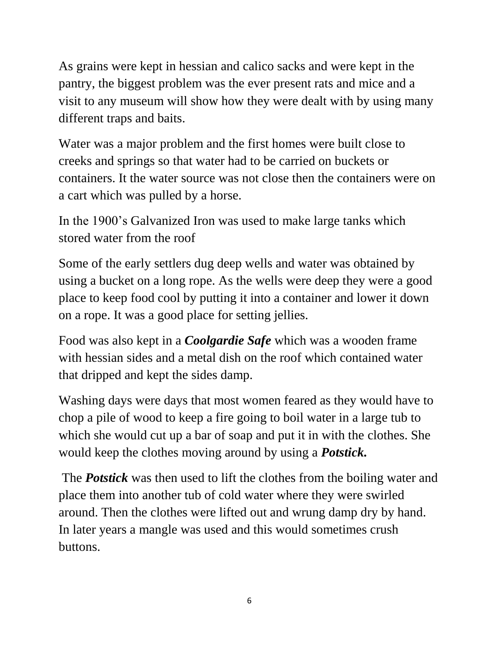As grains were kept in hessian and calico sacks and were kept in the pantry, the biggest problem was the ever present rats and mice and a visit to any museum will show how they were dealt with by using many different traps and baits.

Water was a major problem and the first homes were built close to creeks and springs so that water had to be carried on buckets or containers. It the water source was not close then the containers were on a cart which was pulled by a horse.

In the 1900's Galvanized Iron was used to make large tanks which stored water from the roof

Some of the early settlers dug deep wells and water was obtained by using a bucket on a long rope. As the wells were deep they were a good place to keep food cool by putting it into a container and lower it down on a rope. It was a good place for setting jellies.

Food was also kept in a *Coolgardie Safe* which was a wooden frame with hessian sides and a metal dish on the roof which contained water that dripped and kept the sides damp.

Washing days were days that most women feared as they would have to chop a pile of wood to keep a fire going to boil water in a large tub to which she would cut up a bar of soap and put it in with the clothes. She would keep the clothes moving around by using a *Potstick.*

The *Potstick* was then used to lift the clothes from the boiling water and place them into another tub of cold water where they were swirled around. Then the clothes were lifted out and wrung damp dry by hand. In later years a mangle was used and this would sometimes crush buttons.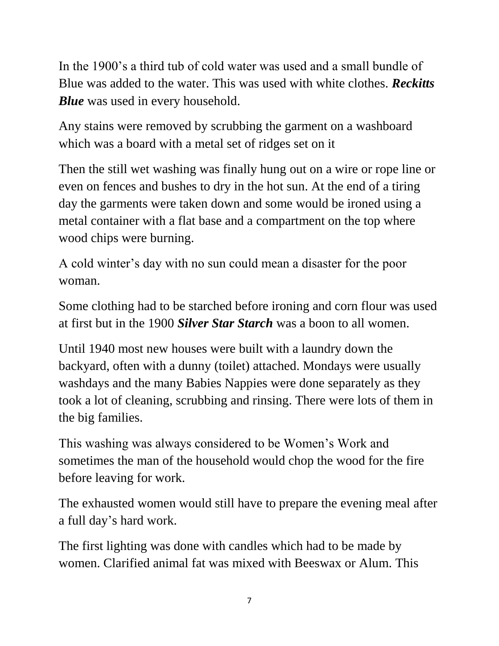In the 1900's a third tub of cold water was used and a small bundle of Blue was added to the water. This was used with white clothes. *Reckitts Blue* was used in every household.

Any stains were removed by scrubbing the garment on a washboard which was a board with a metal set of ridges set on it

Then the still wet washing was finally hung out on a wire or rope line or even on fences and bushes to dry in the hot sun. At the end of a tiring day the garments were taken down and some would be ironed using a metal container with a flat base and a compartment on the top where wood chips were burning.

A cold winter's day with no sun could mean a disaster for the poor woman.

Some clothing had to be starched before ironing and corn flour was used at first but in the 1900 *Silver Star Starch* was a boon to all women.

Until 1940 most new houses were built with a laundry down the backyard, often with a dunny (toilet) attached. Mondays were usually washdays and the many Babies Nappies were done separately as they took a lot of cleaning, scrubbing and rinsing. There were lots of them in the big families.

This washing was always considered to be Women's Work and sometimes the man of the household would chop the wood for the fire before leaving for work.

The exhausted women would still have to prepare the evening meal after a full day's hard work.

The first lighting was done with candles which had to be made by women. Clarified animal fat was mixed with Beeswax or Alum. This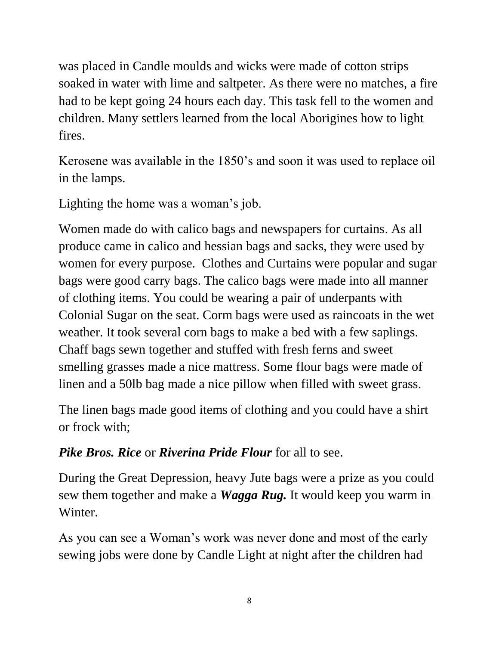was placed in Candle moulds and wicks were made of cotton strips soaked in water with lime and saltpeter. As there were no matches, a fire had to be kept going 24 hours each day. This task fell to the women and children. Many settlers learned from the local Aborigines how to light fires.

Kerosene was available in the 1850's and soon it was used to replace oil in the lamps.

Lighting the home was a woman's job.

Women made do with calico bags and newspapers for curtains. As all produce came in calico and hessian bags and sacks, they were used by women for every purpose. Clothes and Curtains were popular and sugar bags were good carry bags. The calico bags were made into all manner of clothing items. You could be wearing a pair of underpants with Colonial Sugar on the seat. Corm bags were used as raincoats in the wet weather. It took several corn bags to make a bed with a few saplings. Chaff bags sewn together and stuffed with fresh ferns and sweet smelling grasses made a nice mattress. Some flour bags were made of linen and a 50lb bag made a nice pillow when filled with sweet grass.

The linen bags made good items of clothing and you could have a shirt or frock with;

## *Pike Bros. Rice* or *Riverina Pride Flour* for all to see.

During the Great Depression, heavy Jute bags were a prize as you could sew them together and make a *Wagga Rug.* It would keep you warm in Winter.

As you can see a Woman's work was never done and most of the early sewing jobs were done by Candle Light at night after the children had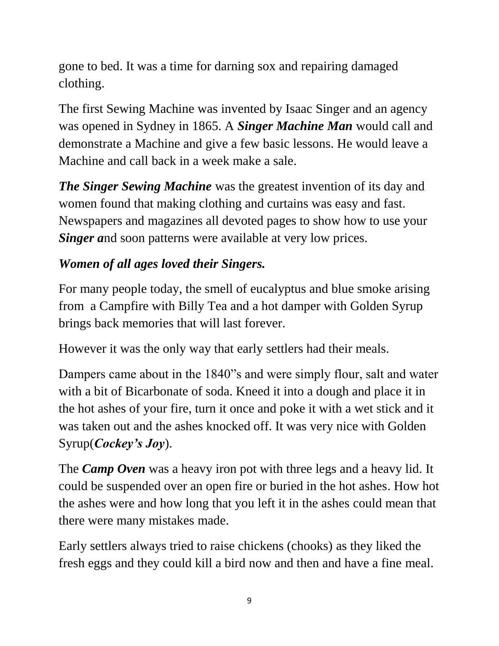gone to bed. It was a time for darning sox and repairing damaged clothing.

The first Sewing Machine was invented by Isaac Singer and an agency was opened in Sydney in 1865. A *Singer Machine Man* would call and demonstrate a Machine and give a few basic lessons. He would leave a Machine and call back in a week make a sale.

*The Singer Sewing Machine* was the greatest invention of its day and women found that making clothing and curtains was easy and fast. Newspapers and magazines all devoted pages to show how to use your *Singer and soon patterns were available at very low prices.* 

## *Women of all ages loved their Singers.*

For many people today, the smell of eucalyptus and blue smoke arising from a Campfire with Billy Tea and a hot damper with Golden Syrup brings back memories that will last forever.

However it was the only way that early settlers had their meals.

Dampers came about in the 1840"s and were simply flour, salt and water with a bit of Bicarbonate of soda. Kneed it into a dough and place it in the hot ashes of your fire, turn it once and poke it with a wet stick and it was taken out and the ashes knocked off. It was very nice with Golden Syrup(*Cockey's Joy*).

The *Camp Oven* was a heavy iron pot with three legs and a heavy lid. It could be suspended over an open fire or buried in the hot ashes. How hot the ashes were and how long that you left it in the ashes could mean that there were many mistakes made.

Early settlers always tried to raise chickens (chooks) as they liked the fresh eggs and they could kill a bird now and then and have a fine meal.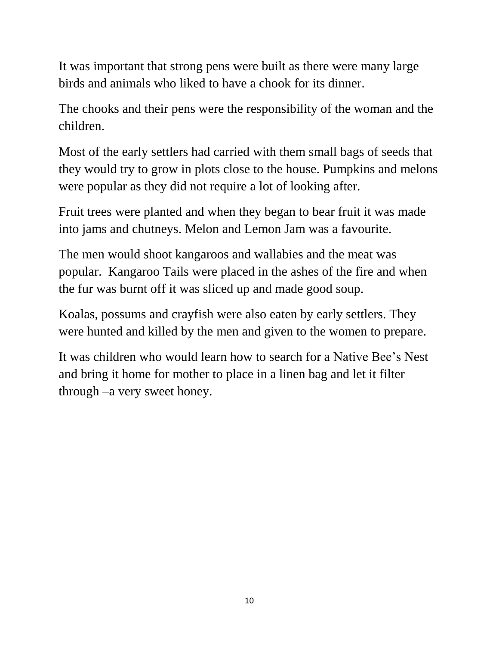It was important that strong pens were built as there were many large birds and animals who liked to have a chook for its dinner.

The chooks and their pens were the responsibility of the woman and the children.

Most of the early settlers had carried with them small bags of seeds that they would try to grow in plots close to the house. Pumpkins and melons were popular as they did not require a lot of looking after.

Fruit trees were planted and when they began to bear fruit it was made into jams and chutneys. Melon and Lemon Jam was a favourite.

The men would shoot kangaroos and wallabies and the meat was popular. Kangaroo Tails were placed in the ashes of the fire and when the fur was burnt off it was sliced up and made good soup.

Koalas, possums and crayfish were also eaten by early settlers. They were hunted and killed by the men and given to the women to prepare.

It was children who would learn how to search for a Native Bee's Nest and bring it home for mother to place in a linen bag and let it filter through –a very sweet honey.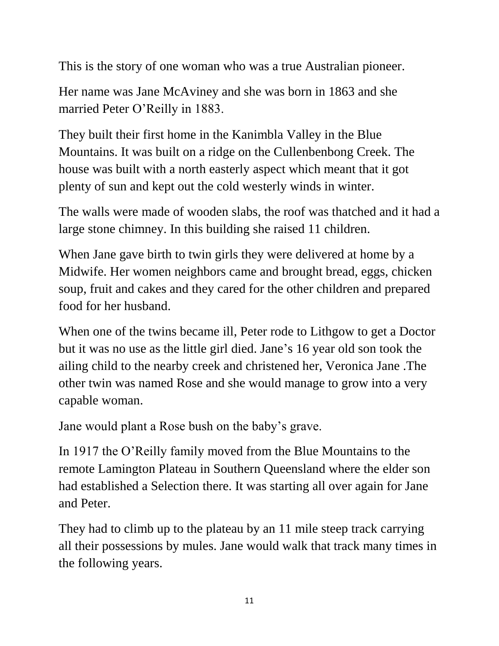This is the story of one woman who was a true Australian pioneer.

Her name was Jane McAviney and she was born in 1863 and she married Peter O'Reilly in 1883.

They built their first home in the Kanimbla Valley in the Blue Mountains. It was built on a ridge on the Cullenbenbong Creek. The house was built with a north easterly aspect which meant that it got plenty of sun and kept out the cold westerly winds in winter.

The walls were made of wooden slabs, the roof was thatched and it had a large stone chimney. In this building she raised 11 children.

When Jane gave birth to twin girls they were delivered at home by a Midwife. Her women neighbors came and brought bread, eggs, chicken soup, fruit and cakes and they cared for the other children and prepared food for her husband.

When one of the twins became ill, Peter rode to Lithgow to get a Doctor but it was no use as the little girl died. Jane's 16 year old son took the ailing child to the nearby creek and christened her, Veronica Jane .The other twin was named Rose and she would manage to grow into a very capable woman.

Jane would plant a Rose bush on the baby's grave.

In 1917 the O'Reilly family moved from the Blue Mountains to the remote Lamington Plateau in Southern Queensland where the elder son had established a Selection there. It was starting all over again for Jane and Peter.

They had to climb up to the plateau by an 11 mile steep track carrying all their possessions by mules. Jane would walk that track many times in the following years.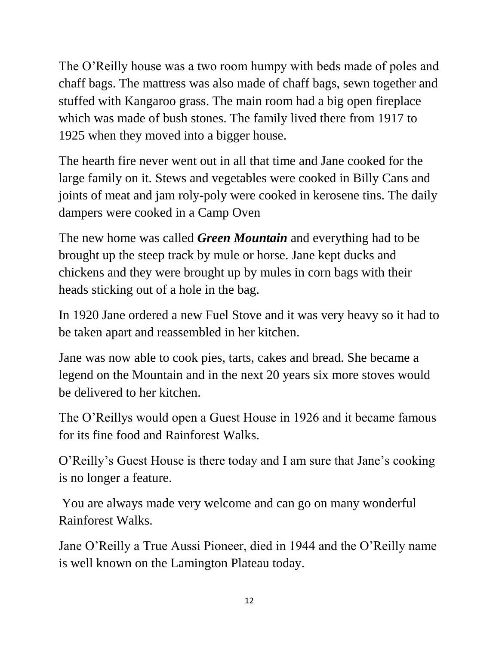The O'Reilly house was a two room humpy with beds made of poles and chaff bags. The mattress was also made of chaff bags, sewn together and stuffed with Kangaroo grass. The main room had a big open fireplace which was made of bush stones. The family lived there from 1917 to 1925 when they moved into a bigger house.

The hearth fire never went out in all that time and Jane cooked for the large family on it. Stews and vegetables were cooked in Billy Cans and joints of meat and jam roly-poly were cooked in kerosene tins. The daily dampers were cooked in a Camp Oven

The new home was called *Green Mountain* and everything had to be brought up the steep track by mule or horse. Jane kept ducks and chickens and they were brought up by mules in corn bags with their heads sticking out of a hole in the bag.

In 1920 Jane ordered a new Fuel Stove and it was very heavy so it had to be taken apart and reassembled in her kitchen.

Jane was now able to cook pies, tarts, cakes and bread. She became a legend on the Mountain and in the next 20 years six more stoves would be delivered to her kitchen.

The O'Reillys would open a Guest House in 1926 and it became famous for its fine food and Rainforest Walks.

O'Reilly's Guest House is there today and I am sure that Jane's cooking is no longer a feature.

You are always made very welcome and can go on many wonderful Rainforest Walks.

Jane O'Reilly a True Aussi Pioneer, died in 1944 and the O'Reilly name is well known on the Lamington Plateau today.